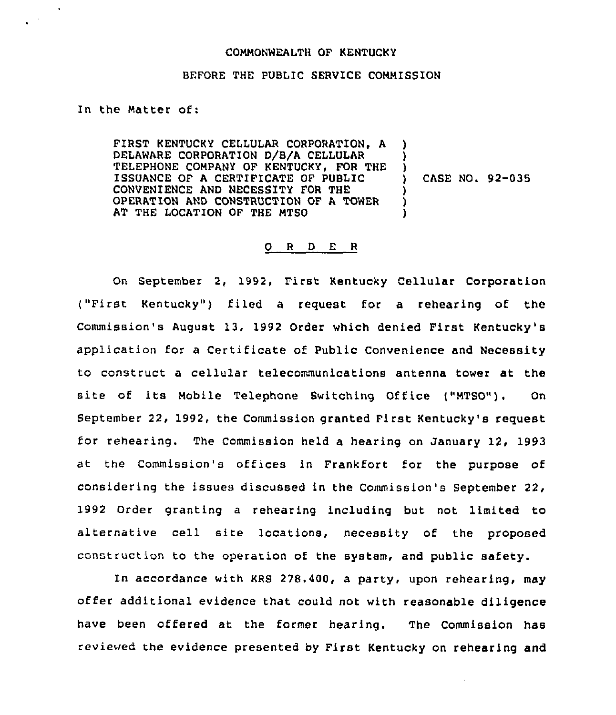## COMMONWEALTH OF KENTUCKY

## BEFORE THE PUBLIC SERVICE COMMISSION

## In the Matter of:

 $\sim$ 

FIRST KENTUCKY CELLULAR CORPORATION, A DELAWARE CORPORATION D/B/A CELLULAR TELEPHONE COMPANY OF KENTUCKY, FOR THE ISSUANCE OF <sup>A</sup> CERTIFICATE OF PUBLIC CONVENIENCE AND NECESSITY FOR THE OPERATION AND CONSTRUCTION OF A TOWER AT THE LOCATION OF THE MTSO )<br>) ) CASE NO. 92-035 ) ) )

## 0 <sup>R</sup> <sup>D</sup> E <sup>R</sup>

On September 2, 1992, First Kentucky Cellular Corporation ("First Kentucky" ) filed <sup>a</sup> request for a rehearing of the Commission's August 13, 1992 Order which denied First Kentucky's application for a Certificate of Public Convenience and Necessity to construct a cellular telecommunications antenna tower at the site of its Mobile Telephone Switching Office ("MTSO"). On September 22, 1992, the Commission granted First Kentucky's request for rehearing. The Commission held a hearing on January 12, 1993 at the commission's offices in Frankfort for the purpose of considering the issues discussed in the Commission's September 22, 1992 Order granting a rehearing including but not limited to alternative cell site locations, necessity of the proposed construction to the operation of the system, and public safety.

In accordance with KRS 278.400, a party, upon rehearing, may offer additional evidence that could not with reasonable diligence have been offered at the former hearing. The Commission has reviewed the evidence presented by First Kentucky on rehearing and